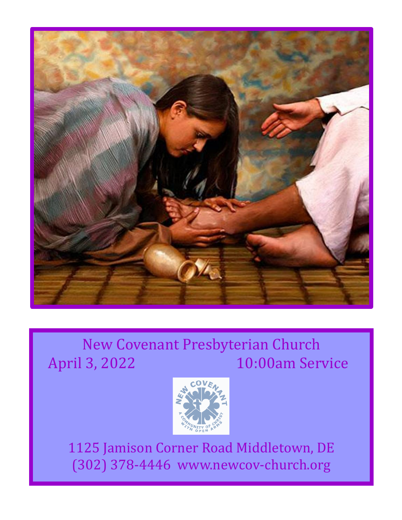

## New Covenant Presbyterian Church April 3, 2022 10:00am Service



1125 Jamison Corner Road Middletown, DE (302) 378-4446 www.newcov-church.org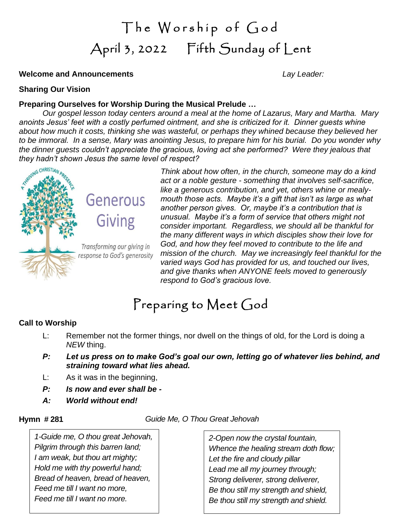# The Worship of God April 3, 2022 Fifth Sunday of Lent

#### **Welcome and Announcements** *Lay Leader:*

#### **Sharing Our Vision**

#### **Preparing Ourselves for Worship During the Musical Prelude …**

*Our gospel lesson today centers around a meal at the home of Lazarus, Mary and Martha. Mary anoints Jesus' feet with a costly perfumed ointment, and she is criticized for it. Dinner guests whine about how much it costs, thinking she was wasteful, or perhaps they whined because they believed her to be immoral. In a sense, Mary was anointing Jesus, to prepare him for his burial. Do you wonder why the dinner guests couldn't appreciate the gracious, loving act she performed? Were they jealous that they hadn't shown Jesus the same level of respect?*



# Generous

**Giving** 

Transforming our giving in

response to God's generosity

*Think about how often, in the church, someone may do a kind act or a noble gesture - something that involves self-sacrifice, like a generous contribution, and yet, others whine or mealymouth those acts. Maybe it's a gift that isn't as large as what another person gives. Or, maybe it's a contribution that is unusual. Maybe it's a form of service that others might not consider important. Regardless, we should all be thankful for the many different ways in which disciples show their love for God, and how they feel moved to contribute to the life and mission of the church. May we increasingly feel thankful for the varied ways God has provided for us, and touched our lives, and give thanks when ANYONE feels moved to generously respond to God's gracious love.*

## Preparing to Meet God

#### **Call to Worship**

- L: Remember not the former things, nor dwell on the things of old, for the Lord is doing a *NEW* thing.
- *P: Let us press on to make God's goal our own, letting go of whatever lies behind, and straining toward what lies ahead.*
- L: As it was in the beginning,
- *P: Is now and ever shall be -*
- *A: World without end!*

**Hymn # 281** *Guide Me, O Thou Great Jehovah*

*1-Guide me, O thou great Jehovah, Pilgrim through this barren land; I am weak, but thou art mighty; Hold me with thy powerful hand; Bread of heaven, bread of heaven, Feed me till I want no more, Feed me till I want no more.*

*2-Open now the crystal fountain, Whence the healing stream doth flow; Let the fire and cloudy pillar Lead me all my journey through; Strong deliverer, strong deliverer, Be thou still my strength and shield, Be thou still my strength and shield.*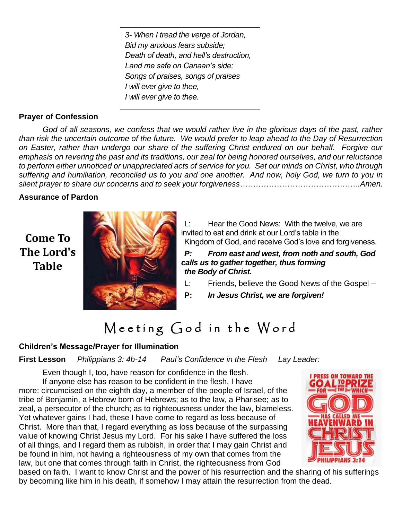*3- When I tread the verge of Jordan, Bid my anxious fears subside; Death of death, and hell's destruction, Land me safe on Canaan's side; Songs of praises, songs of praises I will ever give to thee, I will ever give to thee.*

### **Prayer of Confession**

*God of all seasons, we confess that we would rather live in the glorious days of the past, rather than risk the uncertain outcome of the future. We would prefer to leap ahead to the Day of Resurrection on Easter, rather than undergo our share of the suffering Christ endured on our behalf. Forgive our emphasis on revering the past and its traditions, our zeal for being honored ourselves, and our reluctance to perform either unnoticed or unappreciated acts of service for you. Set our minds on Christ, who through suffering and humiliation, reconciled us to you and one another. And now, holy God, we turn to you in silent prayer to share our concerns and to seek your forgiveness……………………………………….Amen.*

#### **Assurance of Pardon**

**Come To** The Lord's **Table** 



L: Hear the Good News: With the twelve, we are invited to eat and drink at our Lord's table in the Kingdom of God, and receive God's love and forgiveness.

*P: From east and west, from noth and south, God calls us to gather together, thus forming the Body of Christ.*

- L: Friends, believe the Good News of the Gospel –
- **P:** *In Jesus Christ, we are forgiven!*

## Meeting God in the Word

### **Children's Message/Prayer for Illumination**

**First Lesson** *Philippians 3: 4b-14 Paul's Confidence in the Flesh Lay Leader:* 

Even though I, too, have reason for confidence in the flesh. If anyone else has reason to be confident in the flesh, I have more: circumcised on the eighth day, a member of the people of Israel, of the tribe of Benjamin, a Hebrew born of Hebrews; as to the law, a Pharisee; as to zeal, a persecutor of the church; as to righteousness under the law, blameless. Yet whatever gains I had, these I have come to regard as loss because of Christ. More than that, I regard everything as loss because of the surpassing value of knowing Christ Jesus my Lord. For his sake I have suffered the loss of all things, and I regard them as rubbish, in order that I may gain Christ and be found in him, not having a righteousness of my own that comes from the law, but one that comes through faith in Christ, the righteousness from God



based on faith. I want to know Christ and the power of his resurrection and the sharing of his sufferings by becoming like him in his death, if somehow I may attain the resurrection from the dead.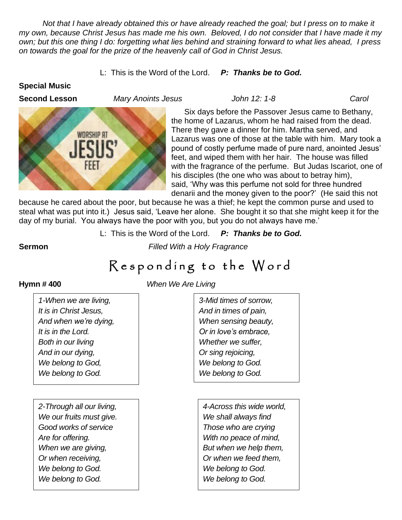*Not that I have already obtained this or have already reached the goal; but I press on to make it my own, because Christ Jesus has made me his own. Beloved, I do not consider that I have made it my own; but this one thing I do: forgetting what lies behind and straining forward to what lies ahead, I press on towards the goal for the prize of the heavenly call of God in Christ Jesus.*

L: This is the Word of the Lord. *P: Thanks be to God.*

#### **Special Music**





Six days before the Passover Jesus came to Bethany, the home of Lazarus, whom he had raised from the dead. There they gave a dinner for him. Martha served, and Lazarus was one of those at the table with him. Mary took a pound of costly perfume made of pure nard, anointed Jesus' feet, and wiped them with her hair. The house was filled with the fragrance of the perfume. But Judas Iscariot, one of his disciples (the one who was about to betray him), said, 'Why was this perfume not sold for three hundred denarii and the money given to the poor?' (He said this not

because he cared about the poor, but because he was a thief; he kept the common purse and used to steal what was put into it.) Jesus said, 'Leave her alone. She bought it so that she might keep it for the day of my burial. You always have the poor with you, but you do not always have me.'

L: This is the Word of the Lord. *P: Thanks be to God.*

**Sermon** *Filled With a Holy Fragrance*

## Responding to the Word

*1-When we are living, It is in Christ Jesus, And when we're dying, It is in the Lord. Both in our living And in our dying, We belong to God, We belong to God.*

*2-Through all our living, We our fruits must give. Good works of service Are for offering. When we are giving, Or when receiving, We belong to God. We belong to God.*

**Hymn # 400** *When We Are Living*

*3-Mid times of sorrow, And in times of pain, When sensing beauty, Or in love's embrace, Whether we suffer, Or sing rejoicing, We belong to God. We belong to God.*

*4-Across this wide world, We shall always find Those who are crying With no peace of mind, But when we help them, Or when we feed them, We belong to God. We belong to God.*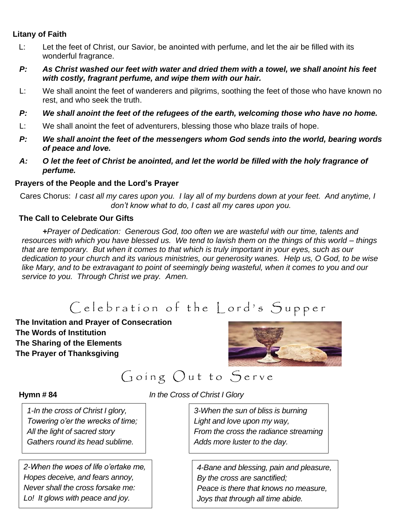### **Litany of Faith**

- L: Let the feet of Christ, our Savior, be anointed with perfume, and let the air be filled with its wonderful fragrance.
- *P: As Christ washed our feet with water and dried them with a towel, we shall anoint his feet with costly, fragrant perfume, and wipe them with our hair.*
- L: We shall anoint the feet of wanderers and pilgrims, soothing the feet of those who have known no rest, and who seek the truth.
- *P: We shall anoint the feet of the refugees of the earth, welcoming those who have no home.*
- L: We shall anoint the feet of adventurers, blessing those who blaze trails of hope.
- *P: We shall anoint the feet of the messengers whom God sends into the world, bearing words of peace and love.*
- *A: O let the feet of Christ be anointed, and let the world be filled with the holy fragrance of perfume.*

#### **Prayers of the People and the Lord's Prayer**

Cares Chorus: *I cast all my cares upon you. I lay all of my burdens down at your feet. And anytime, I don't know what to do, I cast all my cares upon you.*

#### **The Call to Celebrate Our Gifts**

*+Prayer of Dedication: Generous God, too often we are wasteful with our time, talents and resources with which you have blessed us. We tend to lavish them on the things of this world – things that are temporary. But when it comes to that which is truly important in your eyes, such as our dedication to your church and its various ministries, our generosity wanes. Help us, O God, to be wise like Mary, and to be extravagant to point of seemingly being wasteful, when it comes to you and our service to you. Through Christ we pray. Amen.* 

## Celebration of the Lord's Supper

**The Invitation and Prayer of Consecration The Words of Institution The Sharing of the Elements The Prayer of Thanksgiving**



Going Out to Serve

**Hymn # 84** *In the Cross of Christ I Glory*

*1-In the cross of Christ I glory, Towering o'er the wrecks of time; All the light of sacred story Gathers round its head sublime.*

*2-When the woes of life o'ertake me, Hopes deceive, and fears annoy, Never shall the cross forsake me: Lo! It glows with peace and joy.*

*3-When the sun of bliss is burning Light and love upon my way, From the cross the radiance streaming Adds more luster to the day.*

*4-Bane and blessing, pain and pleasure, By the cross are sanctified; Peace is there that knows no measure, Joys that through all time abide.*